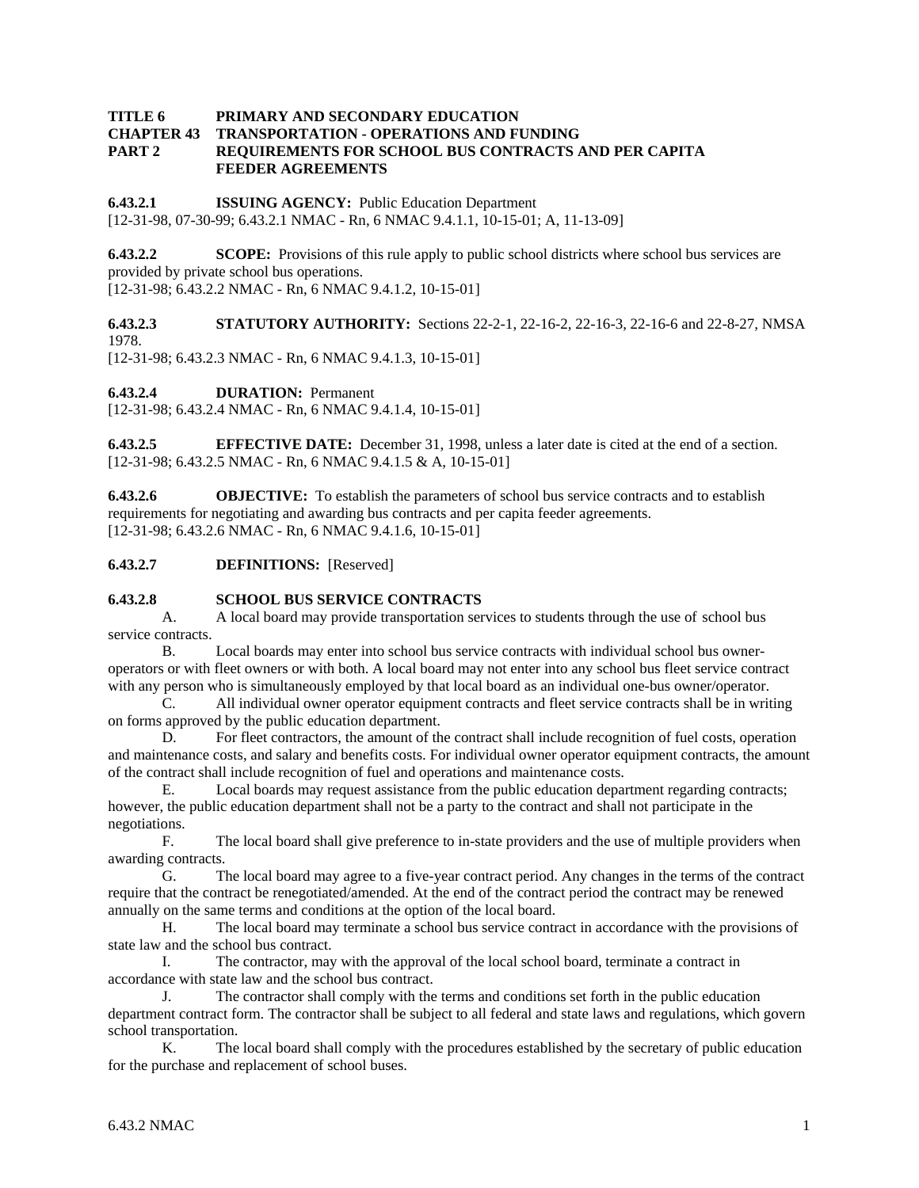#### **TITLE 6 PRIMARY AND SECONDARY EDUCATION CHAPTER 43 TRANSPORTATION - OPERATIONS AND FUNDING PART 2 REQUIREMENTS FOR SCHOOL BUS CONTRACTS AND PER CAPITA FEEDER AGREEMENTS**

**6.43.2.1 ISSUING AGENCY:** Public Education Department

[12-31-98, 07-30-99; 6.43.2.1 NMAC - Rn, 6 NMAC 9.4.1.1, 10-15-01; A, 11-13-09]

**6.43.2.2 SCOPE:** Provisions of this rule apply to public school districts where school bus services are provided by private school bus operations.

[12-31-98; 6.43.2.2 NMAC - Rn, 6 NMAC 9.4.1.2, 10-15-01]

**6.43.2.3 STATUTORY AUTHORITY:** Sections 22-2-1, 22-16-2, 22-16-3, 22-16-6 and 22-8-27, NMSA 1978.

[12-31-98; 6.43.2.3 NMAC - Rn, 6 NMAC 9.4.1.3, 10-15-01]

**6.43.2.4 DURATION:** Permanent

[12-31-98; 6.43.2.4 NMAC - Rn, 6 NMAC 9.4.1.4, 10-15-01]

**6.43.2.5 EFFECTIVE DATE:** December 31, 1998, unless a later date is cited at the end of a section. [12-31-98; 6.43.2.5 NMAC - Rn, 6 NMAC 9.4.1.5 & A, 10-15-01]

**6.43.2.6 OBJECTIVE:** To establish the parameters of school bus service contracts and to establish requirements for negotiating and awarding bus contracts and per capita feeder agreements. [12-31-98; 6.43.2.6 NMAC - Rn, 6 NMAC 9.4.1.6, 10-15-01]

# **6.43.2.7 DEFINITIONS:** [Reserved]

#### **6.43.2.8 SCHOOL BUS SERVICE CONTRACTS**

 A. A local board may provide transportation services to students through the use of school bus service contracts.

 B. Local boards may enter into school bus service contracts with individual school bus owneroperators or with fleet owners or with both. A local board may not enter into any school bus fleet service contract with any person who is simultaneously employed by that local board as an individual one-bus owner/operator.

 C. All individual owner operator equipment contracts and fleet service contracts shall be in writing on forms approved by the public education department.

 D. For fleet contractors, the amount of the contract shall include recognition of fuel costs, operation and maintenance costs, and salary and benefits costs. For individual owner operator equipment contracts, the amount of the contract shall include recognition of fuel and operations and maintenance costs.

 E. Local boards may request assistance from the public education department regarding contracts; however, the public education department shall not be a party to the contract and shall not participate in the negotiations.

 F. The local board shall give preference to in-state providers and the use of multiple providers when awarding contracts.

 G. The local board may agree to a five-year contract period. Any changes in the terms of the contract require that the contract be renegotiated/amended. At the end of the contract period the contract may be renewed annually on the same terms and conditions at the option of the local board.

 H. The local board may terminate a school bus service contract in accordance with the provisions of state law and the school bus contract.

 I. The contractor, may with the approval of the local school board, terminate a contract in accordance with state law and the school bus contract.

 J. The contractor shall comply with the terms and conditions set forth in the public education department contract form. The contractor shall be subject to all federal and state laws and regulations, which govern school transportation.

 K. The local board shall comply with the procedures established by the secretary of public education for the purchase and replacement of school buses.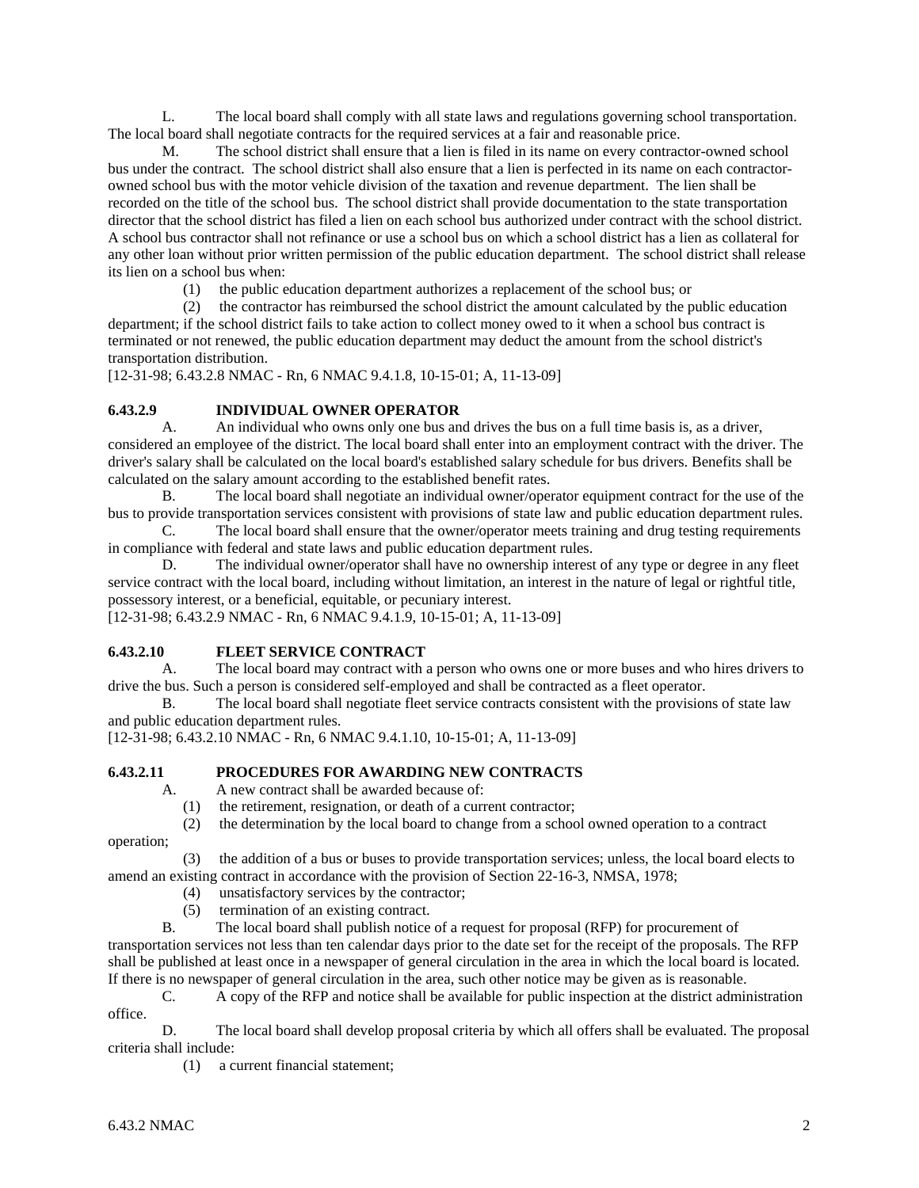L. The local board shall comply with all state laws and regulations governing school transportation. The local board shall negotiate contracts for the required services at a fair and reasonable price.

 M. The school district shall ensure that a lien is filed in its name on every contractor-owned school bus under the contract. The school district shall also ensure that a lien is perfected in its name on each contractorowned school bus with the motor vehicle division of the taxation and revenue department. The lien shall be recorded on the title of the school bus. The school district shall provide documentation to the state transportation director that the school district has filed a lien on each school bus authorized under contract with the school district. A school bus contractor shall not refinance or use a school bus on which a school district has a lien as collateral for any other loan without prior written permission of the public education department. The school district shall release its lien on a school bus when:

(1) the public education department authorizes a replacement of the school bus; or

 (2) the contractor has reimbursed the school district the amount calculated by the public education department; if the school district fails to take action to collect money owed to it when a school bus contract is terminated or not renewed, the public education department may deduct the amount from the school district's transportation distribution.

[12-31-98; 6.43.2.8 NMAC - Rn, 6 NMAC 9.4.1.8, 10-15-01; A, 11-13-09]

# **6.43.2.9 INDIVIDUAL OWNER OPERATOR**

 A. An individual who owns only one bus and drives the bus on a full time basis is, as a driver, considered an employee of the district. The local board shall enter into an employment contract with the driver. The driver's salary shall be calculated on the local board's established salary schedule for bus drivers. Benefits shall be calculated on the salary amount according to the established benefit rates.

 B. The local board shall negotiate an individual owner/operator equipment contract for the use of the bus to provide transportation services consistent with provisions of state law and public education department rules.

 C. The local board shall ensure that the owner/operator meets training and drug testing requirements in compliance with federal and state laws and public education department rules.

D. The individual owner/operator shall have no ownership interest of any type or degree in any fleet service contract with the local board, including without limitation, an interest in the nature of legal or rightful title, possessory interest, or a beneficial, equitable, or pecuniary interest.

[12-31-98; 6.43.2.9 NMAC - Rn, 6 NMAC 9.4.1.9, 10-15-01; A, 11-13-09]

# **6.43.2.10 FLEET SERVICE CONTRACT**

 A. The local board may contract with a person who owns one or more buses and who hires drivers to drive the bus. Such a person is considered self-employed and shall be contracted as a fleet operator.

 B. The local board shall negotiate fleet service contracts consistent with the provisions of state law and public education department rules.

[12-31-98; 6.43.2.10 NMAC - Rn, 6 NMAC 9.4.1.10, 10-15-01; A, 11-13-09]

# **6.43.2.11 PROCEDURES FOR AWARDING NEW CONTRACTS**

A. A new contract shall be awarded because of:

(1) the retirement, resignation, or death of a current contractor;

(2) the determination by the local board to change from a school owned operation to a contract

operation;

 (3) the addition of a bus or buses to provide transportation services; unless, the local board elects to amend an existing contract in accordance with the provision of Section 22-16-3, NMSA, 1978;

- (4) unsatisfactory services by the contractor;
- (5) termination of an existing contract.

 B. The local board shall publish notice of a request for proposal (RFP) for procurement of transportation services not less than ten calendar days prior to the date set for the receipt of the proposals. The RFP shall be published at least once in a newspaper of general circulation in the area in which the local board is located. If there is no newspaper of general circulation in the area, such other notice may be given as is reasonable.

 C. A copy of the RFP and notice shall be available for public inspection at the district administration office.

 D. The local board shall develop proposal criteria by which all offers shall be evaluated. The proposal criteria shall include:

(1) a current financial statement;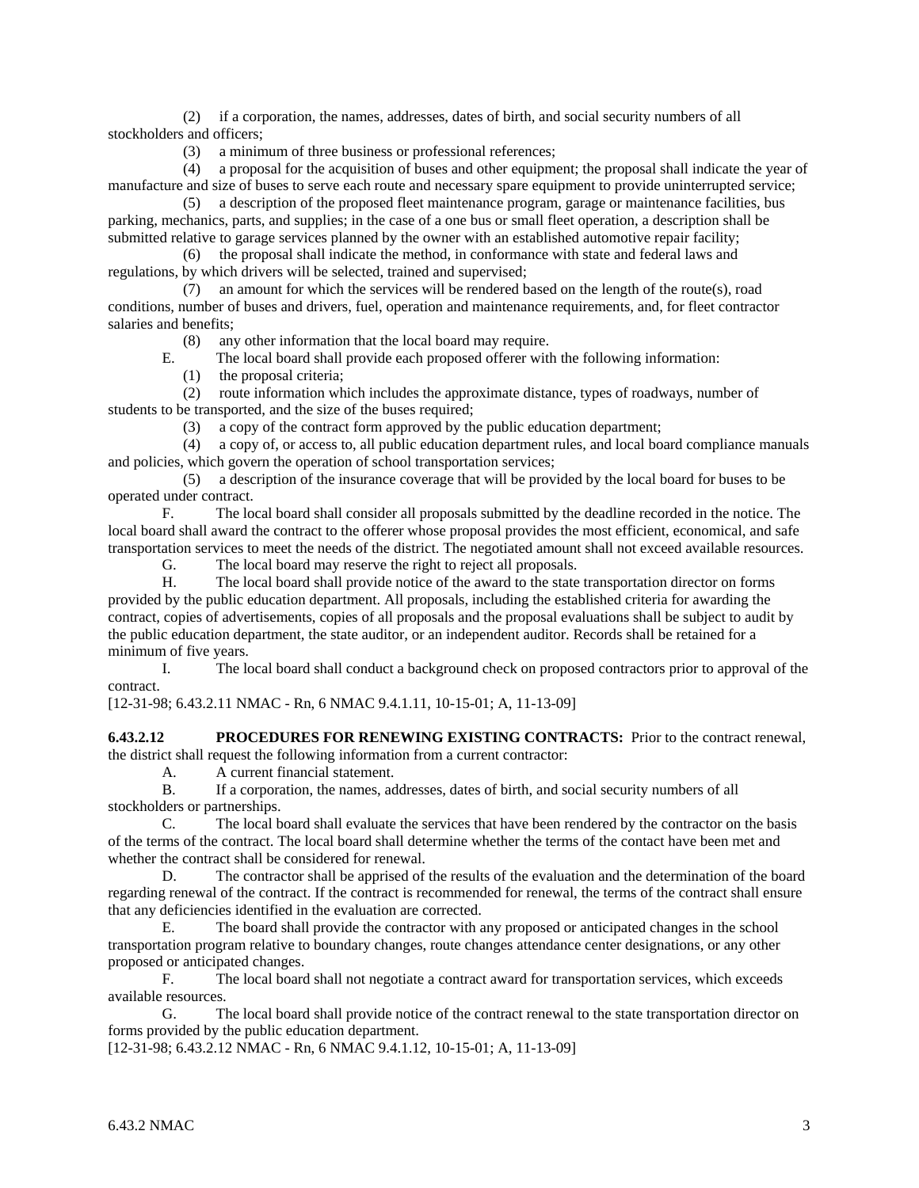(2) if a corporation, the names, addresses, dates of birth, and social security numbers of all stockholders and officers;

(3) a minimum of three business or professional references;

 (4) a proposal for the acquisition of buses and other equipment; the proposal shall indicate the year of manufacture and size of buses to serve each route and necessary spare equipment to provide uninterrupted service;

 (5) a description of the proposed fleet maintenance program, garage or maintenance facilities, bus parking, mechanics, parts, and supplies; in the case of a one bus or small fleet operation, a description shall be submitted relative to garage services planned by the owner with an established automotive repair facility;

 (6) the proposal shall indicate the method, in conformance with state and federal laws and regulations, by which drivers will be selected, trained and supervised;

 (7) an amount for which the services will be rendered based on the length of the route(s), road conditions, number of buses and drivers, fuel, operation and maintenance requirements, and, for fleet contractor salaries and benefits;

(8) any other information that the local board may require.

E. The local board shall provide each proposed offerer with the following information:

(1) the proposal criteria;

 (2) route information which includes the approximate distance, types of roadways, number of students to be transported, and the size of the buses required;

(3) a copy of the contract form approved by the public education department;

 (4) a copy of, or access to, all public education department rules, and local board compliance manuals and policies, which govern the operation of school transportation services;

 (5) a description of the insurance coverage that will be provided by the local board for buses to be operated under contract.

 F. The local board shall consider all proposals submitted by the deadline recorded in the notice. The local board shall award the contract to the offerer whose proposal provides the most efficient, economical, and safe transportation services to meet the needs of the district. The negotiated amount shall not exceed available resources.

G. The local board may reserve the right to reject all proposals.

 H. The local board shall provide notice of the award to the state transportation director on forms provided by the public education department. All proposals, including the established criteria for awarding the contract, copies of advertisements, copies of all proposals and the proposal evaluations shall be subject to audit by the public education department, the state auditor, or an independent auditor. Records shall be retained for a minimum of five years.

 I. The local board shall conduct a background check on proposed contractors prior to approval of the contract.

[12-31-98; 6.43.2.11 NMAC - Rn, 6 NMAC 9.4.1.11, 10-15-01; A, 11-13-09]

**6.43.2.12 PROCEDURES FOR RENEWING EXISTING CONTRACTS:** Prior to the contract renewal, the district shall request the following information from a current contractor:

A. A current financial statement.

 B. If a corporation, the names, addresses, dates of birth, and social security numbers of all stockholders or partnerships.

 C. The local board shall evaluate the services that have been rendered by the contractor on the basis of the terms of the contract. The local board shall determine whether the terms of the contact have been met and whether the contract shall be considered for renewal.

 D. The contractor shall be apprised of the results of the evaluation and the determination of the board regarding renewal of the contract. If the contract is recommended for renewal, the terms of the contract shall ensure that any deficiencies identified in the evaluation are corrected.

 E. The board shall provide the contractor with any proposed or anticipated changes in the school transportation program relative to boundary changes, route changes attendance center designations, or any other proposed or anticipated changes.

 F. The local board shall not negotiate a contract award for transportation services, which exceeds available resources.

 G. The local board shall provide notice of the contract renewal to the state transportation director on forms provided by the public education department.

[12-31-98; 6.43.2.12 NMAC - Rn, 6 NMAC 9.4.1.12, 10-15-01; A, 11-13-09]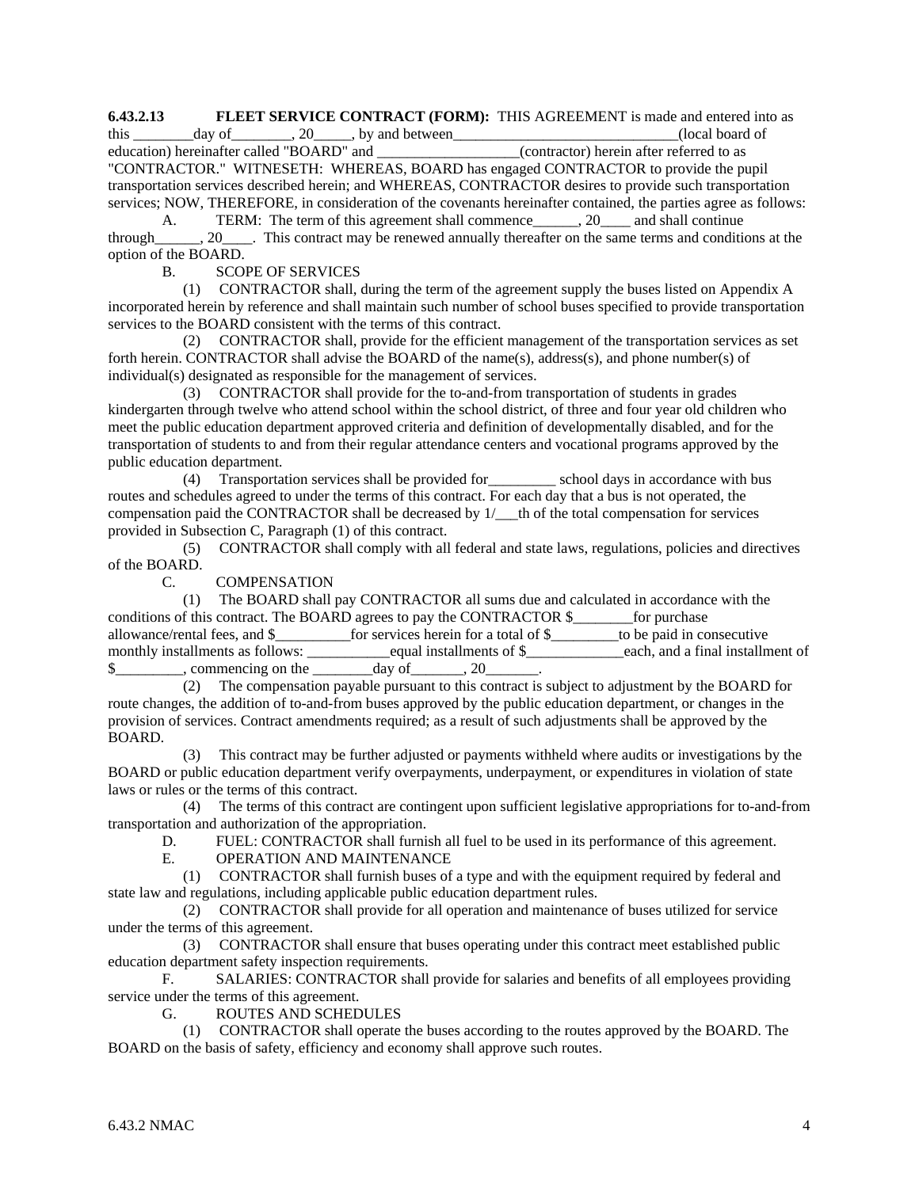**6.43.2.13 FLEET SERVICE CONTRACT (FORM):** THIS AGREEMENT is made and entered into as

this  $\frac{day \text{ of }_{\text{equation}} \text{ of }_{\text{equation}} \text{ or } 20 \text{ of }_{\text{equation}}$ , 20, by and between  $\frac{y}{x}$  (local board of education) hereinafter called "BOARD" and  $\frac{y}{x}$  (contractor) herein after referred to as education) hereinafter referred to as "CONTRACTOR." WITNESETH: WHEREAS, BOARD has engaged CONTRACTOR to provide the pupil transportation services described herein; and WHEREAS, CONTRACTOR desires to provide such transportation services; NOW, THEREFORE, in consideration of the covenants hereinafter contained, the parties agree as follows:

A. TERM: The term of this agreement shall commence and shall continue through\_\_\_\_\_\_, 20\_\_\_\_. This contract may be renewed annually thereafter on the same terms and conditions at the option of the BOARD.

# B. SCOPE OF SERVICES

 (1) CONTRACTOR shall, during the term of the agreement supply the buses listed on Appendix A incorporated herein by reference and shall maintain such number of school buses specified to provide transportation services to the BOARD consistent with the terms of this contract.

 (2) CONTRACTOR shall, provide for the efficient management of the transportation services as set forth herein. CONTRACTOR shall advise the BOARD of the name(s), address(s), and phone number(s) of individual(s) designated as responsible for the management of services.

 (3) CONTRACTOR shall provide for the to-and-from transportation of students in grades kindergarten through twelve who attend school within the school district, of three and four year old children who meet the public education department approved criteria and definition of developmentally disabled, and for the transportation of students to and from their regular attendance centers and vocational programs approved by the public education department.

 (4) Transportation services shall be provided for\_\_\_\_\_\_\_\_\_ school days in accordance with bus routes and schedules agreed to under the terms of this contract. For each day that a bus is not operated, the compensation paid the CONTRACTOR shall be decreased by  $1/$  th of the total compensation for services provided in Subsection C, Paragraph (1) of this contract.

 (5) CONTRACTOR shall comply with all federal and state laws, regulations, policies and directives of the BOARD.

C. COMPENSATION

 (1) The BOARD shall pay CONTRACTOR all sums due and calculated in accordance with the conditions of this contract. The BOARD agrees to pay the CONTRACTOR \$ for purchase allowance/rental fees, and \$\_\_\_\_\_\_\_\_\_\_for services herein for a total of \$\_\_\_\_\_\_\_\_\_to be paid in consecutive monthly installments as follows: \_\_\_\_\_\_\_\_\_\_\_equal installments of \$\_\_\_\_\_\_\_\_\_\_\_\_\_each, and a final installment of \$ commencing on the day of 3.20

 (2) The compensation payable pursuant to this contract is subject to adjustment by the BOARD for route changes, the addition of to-and-from buses approved by the public education department, or changes in the provision of services. Contract amendments required; as a result of such adjustments shall be approved by the BOARD.

This contract may be further adjusted or payments withheld where audits or investigations by the BOARD or public education department verify overpayments, underpayment, or expenditures in violation of state laws or rules or the terms of this contract.

 (4) The terms of this contract are contingent upon sufficient legislative appropriations for to-and-from transportation and authorization of the appropriation.

D. FUEL: CONTRACTOR shall furnish all fuel to be used in its performance of this agreement.

E. OPERATION AND MAINTENANCE

 (1) CONTRACTOR shall furnish buses of a type and with the equipment required by federal and state law and regulations, including applicable public education department rules.

 (2) CONTRACTOR shall provide for all operation and maintenance of buses utilized for service under the terms of this agreement.

 (3) CONTRACTOR shall ensure that buses operating under this contract meet established public education department safety inspection requirements.

 F. SALARIES: CONTRACTOR shall provide for salaries and benefits of all employees providing service under the terms of this agreement.

G. ROUTES AND SCHEDULES

 (1) CONTRACTOR shall operate the buses according to the routes approved by the BOARD. The BOARD on the basis of safety, efficiency and economy shall approve such routes.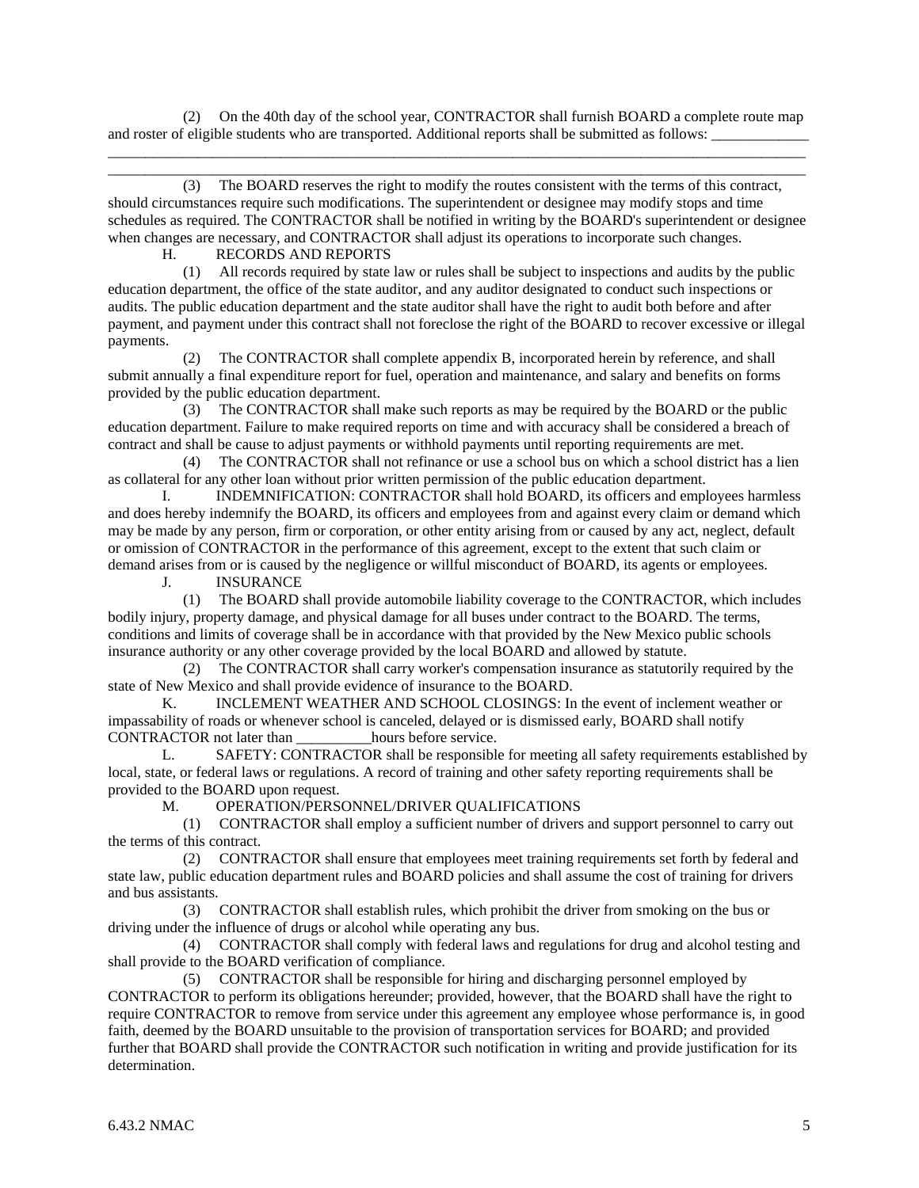(2) On the 40th day of the school year, CONTRACTOR shall furnish BOARD a complete route map and roster of eligible students who are transported. Additional reports shall be submitted as follows: \_\_\_\_\_\_\_\_\_\_\_\_\_\_\_\_\_\_\_\_\_\_\_\_\_\_\_\_\_\_\_\_\_\_\_\_\_\_\_\_\_\_\_\_\_\_\_\_\_\_\_\_\_\_\_\_\_\_\_\_\_\_\_\_\_\_\_\_\_\_\_\_\_\_\_\_\_\_\_\_\_\_\_\_\_\_\_\_\_\_\_\_\_

\_\_\_\_\_\_\_\_\_\_\_\_\_\_\_\_\_\_\_\_\_\_\_\_\_\_\_\_\_\_\_\_\_\_\_\_\_\_\_\_\_\_\_\_\_\_\_\_\_\_\_\_\_\_\_\_\_\_\_\_\_\_\_\_\_\_\_\_\_\_\_\_\_\_\_\_\_\_\_\_\_\_\_\_\_\_\_\_\_\_\_\_\_

 (3) The BOARD reserves the right to modify the routes consistent with the terms of this contract, should circumstances require such modifications. The superintendent or designee may modify stops and time schedules as required. The CONTRACTOR shall be notified in writing by the BOARD's superintendent or designee when changes are necessary, and CONTRACTOR shall adjust its operations to incorporate such changes.

H. RECORDS AND REPORTS

 (1) All records required by state law or rules shall be subject to inspections and audits by the public education department, the office of the state auditor, and any auditor designated to conduct such inspections or audits. The public education department and the state auditor shall have the right to audit both before and after payment, and payment under this contract shall not foreclose the right of the BOARD to recover excessive or illegal payments.

 (2) The CONTRACTOR shall complete appendix B, incorporated herein by reference, and shall submit annually a final expenditure report for fuel, operation and maintenance, and salary and benefits on forms provided by the public education department.

 (3) The CONTRACTOR shall make such reports as may be required by the BOARD or the public education department. Failure to make required reports on time and with accuracy shall be considered a breach of contract and shall be cause to adjust payments or withhold payments until reporting requirements are met.

 (4) The CONTRACTOR shall not refinance or use a school bus on which a school district has a lien as collateral for any other loan without prior written permission of the public education department.

 I. INDEMNIFICATION: CONTRACTOR shall hold BOARD, its officers and employees harmless and does hereby indemnify the BOARD, its officers and employees from and against every claim or demand which may be made by any person, firm or corporation, or other entity arising from or caused by any act, neglect, default or omission of CONTRACTOR in the performance of this agreement, except to the extent that such claim or demand arises from or is caused by the negligence or willful misconduct of BOARD, its agents or employees.

J. INSURANCE

 (1) The BOARD shall provide automobile liability coverage to the CONTRACTOR, which includes bodily injury, property damage, and physical damage for all buses under contract to the BOARD. The terms, conditions and limits of coverage shall be in accordance with that provided by the New Mexico public schools insurance authority or any other coverage provided by the local BOARD and allowed by statute.

 (2) The CONTRACTOR shall carry worker's compensation insurance as statutorily required by the state of New Mexico and shall provide evidence of insurance to the BOARD.

 K. INCLEMENT WEATHER AND SCHOOL CLOSINGS: In the event of inclement weather or impassability of roads or whenever school is canceled, delayed or is dismissed early, BOARD shall notify CONTRACTOR not later than \_\_\_\_\_\_\_\_\_\_hours before service.

 L. SAFETY: CONTRACTOR shall be responsible for meeting all safety requirements established by local, state, or federal laws or regulations. A record of training and other safety reporting requirements shall be provided to the BOARD upon request.

M. OPERATION/PERSONNEL/DRIVER QUALIFICATIONS

 (1) CONTRACTOR shall employ a sufficient number of drivers and support personnel to carry out the terms of this contract.

 (2) CONTRACTOR shall ensure that employees meet training requirements set forth by federal and state law, public education department rules and BOARD policies and shall assume the cost of training for drivers and bus assistants.

 (3) CONTRACTOR shall establish rules, which prohibit the driver from smoking on the bus or driving under the influence of drugs or alcohol while operating any bus.

 (4) CONTRACTOR shall comply with federal laws and regulations for drug and alcohol testing and shall provide to the BOARD verification of compliance.

 (5) CONTRACTOR shall be responsible for hiring and discharging personnel employed by CONTRACTOR to perform its obligations hereunder; provided, however, that the BOARD shall have the right to require CONTRACTOR to remove from service under this agreement any employee whose performance is, in good faith, deemed by the BOARD unsuitable to the provision of transportation services for BOARD; and provided further that BOARD shall provide the CONTRACTOR such notification in writing and provide justification for its determination.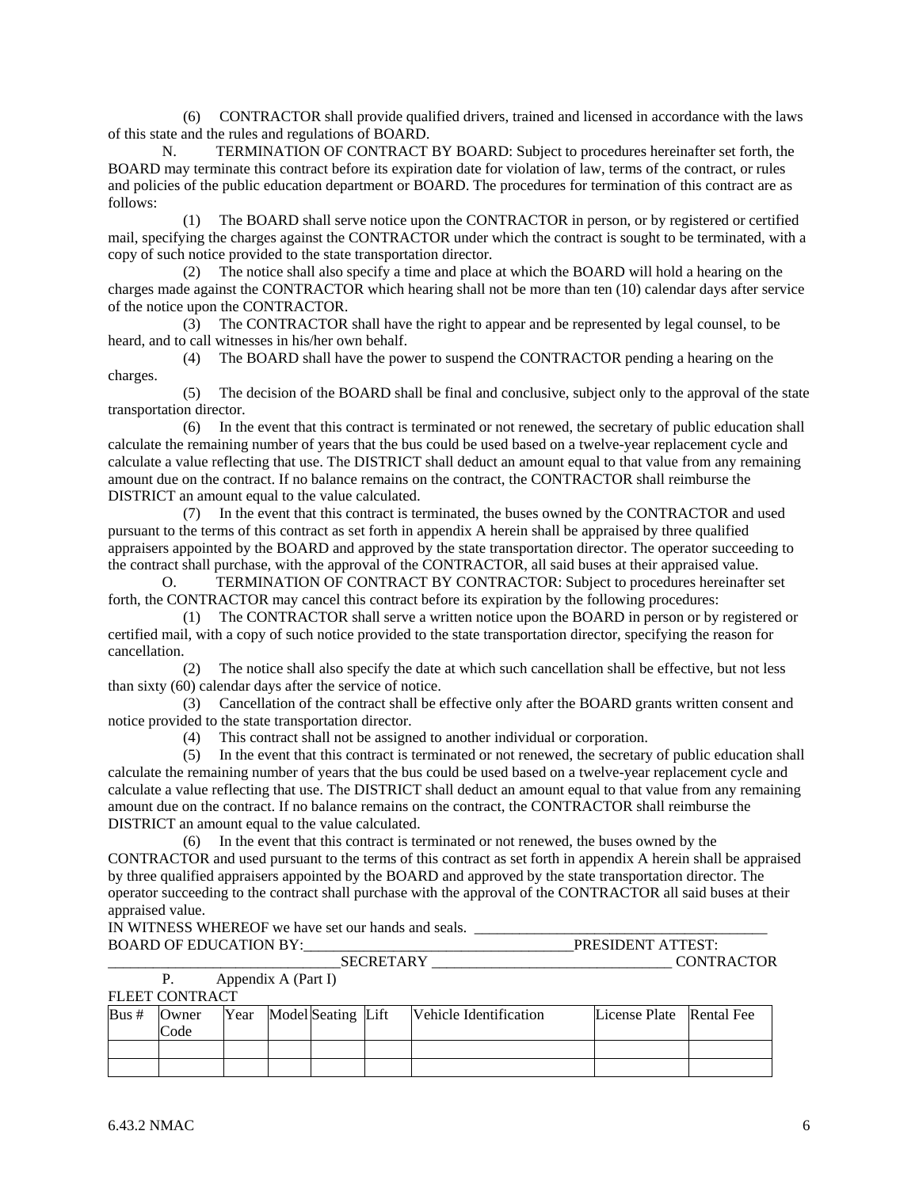(6) CONTRACTOR shall provide qualified drivers, trained and licensed in accordance with the laws of this state and the rules and regulations of BOARD.

 N. TERMINATION OF CONTRACT BY BOARD: Subject to procedures hereinafter set forth, the BOARD may terminate this contract before its expiration date for violation of law, terms of the contract, or rules and policies of the public education department or BOARD. The procedures for termination of this contract are as follows:

 (1) The BOARD shall serve notice upon the CONTRACTOR in person, or by registered or certified mail, specifying the charges against the CONTRACTOR under which the contract is sought to be terminated, with a copy of such notice provided to the state transportation director.

 (2) The notice shall also specify a time and place at which the BOARD will hold a hearing on the charges made against the CONTRACTOR which hearing shall not be more than ten (10) calendar days after service of the notice upon the CONTRACTOR.

 (3) The CONTRACTOR shall have the right to appear and be represented by legal counsel, to be heard, and to call witnesses in his/her own behalf.

 (4) The BOARD shall have the power to suspend the CONTRACTOR pending a hearing on the charges.

 (5) The decision of the BOARD shall be final and conclusive, subject only to the approval of the state transportation director.

 (6) In the event that this contract is terminated or not renewed, the secretary of public education shall calculate the remaining number of years that the bus could be used based on a twelve-year replacement cycle and calculate a value reflecting that use. The DISTRICT shall deduct an amount equal to that value from any remaining amount due on the contract. If no balance remains on the contract, the CONTRACTOR shall reimburse the DISTRICT an amount equal to the value calculated.

 (7) In the event that this contract is terminated, the buses owned by the CONTRACTOR and used pursuant to the terms of this contract as set forth in appendix A herein shall be appraised by three qualified appraisers appointed by the BOARD and approved by the state transportation director. The operator succeeding to the contract shall purchase, with the approval of the CONTRACTOR, all said buses at their appraised value.

 O. TERMINATION OF CONTRACT BY CONTRACTOR: Subject to procedures hereinafter set forth, the CONTRACTOR may cancel this contract before its expiration by the following procedures:

 (1) The CONTRACTOR shall serve a written notice upon the BOARD in person or by registered or certified mail, with a copy of such notice provided to the state transportation director, specifying the reason for cancellation.

 (2) The notice shall also specify the date at which such cancellation shall be effective, but not less than sixty (60) calendar days after the service of notice.

 (3) Cancellation of the contract shall be effective only after the BOARD grants written consent and notice provided to the state transportation director.

(4) This contract shall not be assigned to another individual or corporation.

 (5) In the event that this contract is terminated or not renewed, the secretary of public education shall calculate the remaining number of years that the bus could be used based on a twelve-year replacement cycle and calculate a value reflecting that use. The DISTRICT shall deduct an amount equal to that value from any remaining amount due on the contract. If no balance remains on the contract, the CONTRACTOR shall reimburse the DISTRICT an amount equal to the value calculated.

 (6) In the event that this contract is terminated or not renewed, the buses owned by the CONTRACTOR and used pursuant to the terms of this contract as set forth in appendix A herein shall be appraised by three qualified appraisers appointed by the BOARD and approved by the state transportation director. The operator succeeding to the contract shall purchase with the approval of the CONTRACTOR all said buses at their appraised value.

IN WITNESS WHEREOF we have set our hands and seals. \_\_\_\_\_\_\_\_\_\_\_\_\_\_\_\_\_\_\_\_\_\_\_\_\_\_\_\_\_\_\_\_\_\_\_\_\_\_\_

| $\overline{\text{M}}$<br>BOA<br>$\mathbf{D} \mathbf{V}$<br>$\Gamma \Delta T$ ION<br>H.L.<br>◝<br>ື |   |
|----------------------------------------------------------------------------------------------------|---|
|                                                                                                    | ж |
| . .<br>$\sim$<br>$\mathbf{r}$ $\mathbf{r}$                                                         |   |

|                 | Appendix A (Part I) |  |  |
|-----------------|---------------------|--|--|
| FI FFT CONTRACT |                     |  |  |

|      | .     |  |                         |                        |                          |  |
|------|-------|--|-------------------------|------------------------|--------------------------|--|
| Bus# | Owner |  | Year Model Seating Lift | Vehicle Identification | License Plate Rental Fee |  |
|      | Code  |  |                         |                        |                          |  |
|      |       |  |                         |                        |                          |  |
|      |       |  |                         |                        |                          |  |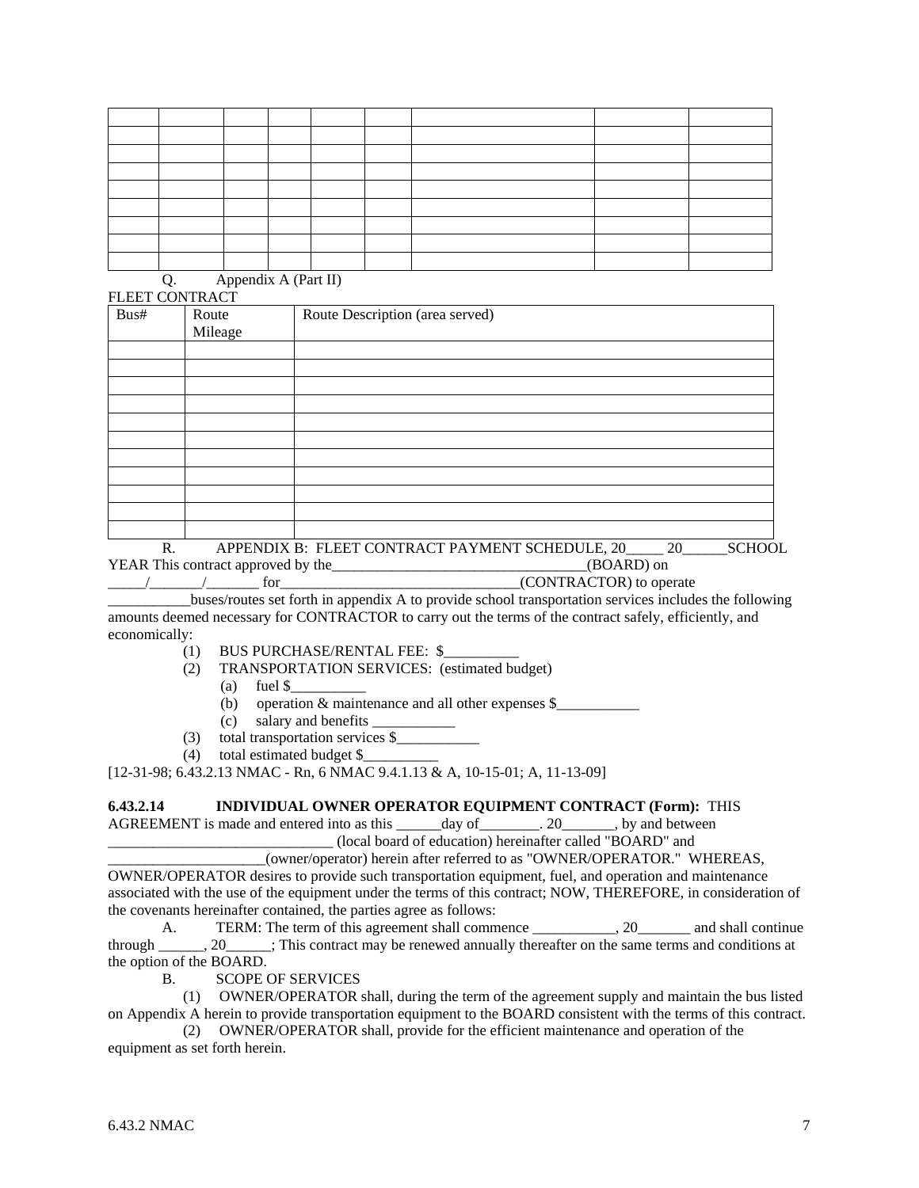Q. Appendix A (Part II)

| FLEET CONTRACT |         |                                                                                  |        |         |
|----------------|---------|----------------------------------------------------------------------------------|--------|---------|
| Bus#           | Route   | Route Description (area served)                                                  |        |         |
|                | Mileage |                                                                                  |        |         |
|                |         |                                                                                  |        |         |
|                |         |                                                                                  |        |         |
|                |         |                                                                                  |        |         |
|                |         |                                                                                  |        |         |
|                |         |                                                                                  |        |         |
|                |         |                                                                                  |        |         |
|                |         |                                                                                  |        |         |
|                |         |                                                                                  |        |         |
|                |         |                                                                                  |        |         |
|                |         |                                                                                  |        |         |
|                |         |                                                                                  |        |         |
| <sub>n</sub>   |         | $\lambda$ DDEMBIV D. ELEER COMED $\lambda$ CE D $\lambda$ VA (EMERGILE DILLE 20) | $\sim$ | 0011001 |

R. APPENDIX B: FLEET CONTRACT PAYMENT SCHEDULE, 20\_\_\_\_\_\_ 20\_\_\_\_\_\_\_SCHOOL YEAR This contract approved by the\_\_\_\_\_\_\_\_\_\_\_\_\_\_\_\_\_\_\_\_\_\_\_\_\_\_\_\_\_\_\_\_(BOARD) on  $\frac{1}{2}$   $\frac{1}{2}$   $\frac{1}{2}$  for  $\frac{1}{2}$  for  $\frac{1}{2}$  for  $\frac{1}{2}$  for  $\frac{1}{2}$  for  $\frac{1}{2}$  for  $\frac{1}{2}$  for  $\frac{1}{2}$  for  $\frac{1}{2}$  for  $\frac{1}{2}$  for  $\frac{1}{2}$  for  $\frac{1}{2}$  for  $\frac{1}{2}$  for  $\frac{1}{2}$  for  $\frac{1$ 

\_\_\_\_\_\_\_\_\_\_\_buses/routes set forth in appendix A to provide school transportation services includes the following amounts deemed necessary for CONTRACTOR to carry out the terms of the contract safely, efficiently, and economically:

- (1) BUS PURCHASE/RENTAL FEE: \$\_\_\_\_\_\_\_\_\_\_
- (2) TRANSPORTATION SERVICES: (estimated budget)
	- (a) fuel  $\$ 
		- (b) operation & maintenance and all other expenses \$\_\_\_\_\_\_\_\_\_\_\_
	- (c) salary and benefits \_\_\_\_\_\_\_\_\_\_\_
- (3) total transportation services \$\_\_\_\_\_\_\_\_\_\_\_
- (4) total estimated budget \$\_\_\_\_\_\_\_\_\_\_

[12-31-98; 6.43.2.13 NMAC - Rn, 6 NMAC 9.4.1.13 & A, 10-15-01; A, 11-13-09]

# **6.43.2.14 INDIVIDUAL OWNER OPERATOR EQUIPMENT CONTRACT (Form):** THIS

AGREEMENT is made and entered into as this \_\_\_\_\_\_day of \_\_\_\_\_\_\_\_. 20\_\_\_\_\_\_\_, by and between \_\_\_\_\_\_\_\_\_\_\_\_\_\_\_\_\_\_\_\_\_\_\_\_\_\_\_\_\_\_ (local board of education) hereinafter called "BOARD" and

\_\_\_\_\_\_\_\_\_\_\_\_\_\_\_\_\_\_\_\_\_(owner/operator) herein after referred to as "OWNER/OPERATOR." WHEREAS,

OWNER/OPERATOR desires to provide such transportation equipment, fuel, and operation and maintenance associated with the use of the equipment under the terms of this contract; NOW, THEREFORE, in consideration of the covenants hereinafter contained, the parties agree as follows:

A. TERM: The term of this agreement shall commence \_\_\_\_\_\_\_\_\_\_, 20\_\_\_\_\_\_\_\_ and shall continue through \_\_\_\_\_\_, 20\_\_\_\_\_\_; This contract may be renewed annually thereafter on the same terms and conditions at the option of the BOARD.

B. SCOPE OF SERVICES

 (1) OWNER/OPERATOR shall, during the term of the agreement supply and maintain the bus listed on Appendix A herein to provide transportation equipment to the BOARD consistent with the terms of this contract.

 (2) OWNER/OPERATOR shall, provide for the efficient maintenance and operation of the equipment as set forth herein.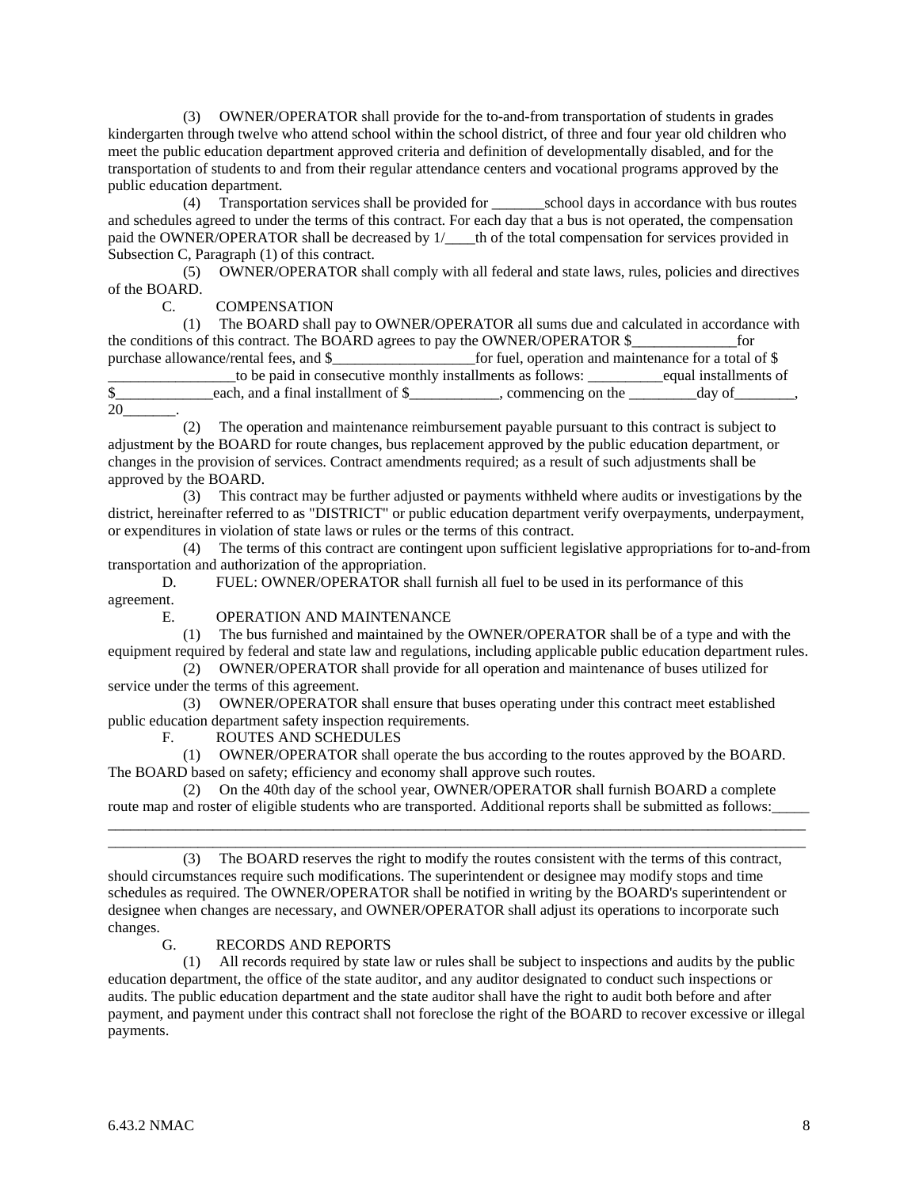(3) OWNER/OPERATOR shall provide for the to-and-from transportation of students in grades kindergarten through twelve who attend school within the school district, of three and four year old children who meet the public education department approved criteria and definition of developmentally disabled, and for the transportation of students to and from their regular attendance centers and vocational programs approved by the public education department.

 (4) Transportation services shall be provided for \_\_\_\_\_\_\_school days in accordance with bus routes and schedules agreed to under the terms of this contract. For each day that a bus is not operated, the compensation paid the OWNER/OPERATOR shall be decreased by  $1/$  th of the total compensation for services provided in Subsection C, Paragraph (1) of this contract.

 (5) OWNER/OPERATOR shall comply with all federal and state laws, rules, policies and directives of the BOARD.

C. COMPENSATION

 (1) The BOARD shall pay to OWNER/OPERATOR all sums due and calculated in accordance with the conditions of this contract. The BOARD agrees to pay the OWNER/OPERATOR \$\_\_\_\_\_\_\_\_\_\_\_\_\_\_for purchase allowance/rental fees, and \$\_\_\_\_\_\_\_\_\_\_\_\_\_\_\_\_\_\_\_for fuel, operation and maintenance for a total of \$ \_\_\_\_\_\_\_\_\_\_\_\_\_\_\_\_\_to be paid in consecutive monthly installments as follows: \_\_\_\_\_\_\_\_\_\_equal installments of \$ 20\_\_\_\_\_\_\_.

 (2) The operation and maintenance reimbursement payable pursuant to this contract is subject to adjustment by the BOARD for route changes, bus replacement approved by the public education department, or changes in the provision of services. Contract amendments required; as a result of such adjustments shall be approved by the BOARD.

 (3) This contract may be further adjusted or payments withheld where audits or investigations by the district, hereinafter referred to as "DISTRICT" or public education department verify overpayments, underpayment, or expenditures in violation of state laws or rules or the terms of this contract.

 (4) The terms of this contract are contingent upon sufficient legislative appropriations for to-and-from transportation and authorization of the appropriation.

 D. FUEL: OWNER/OPERATOR shall furnish all fuel to be used in its performance of this agreement.

E. OPERATION AND MAINTENANCE

 (1) The bus furnished and maintained by the OWNER/OPERATOR shall be of a type and with the equipment required by federal and state law and regulations, including applicable public education department rules. (2) OWNER/OPERATOR shall provide for all operation and maintenance of buses utilized for

service under the terms of this agreement.

 (3) OWNER/OPERATOR shall ensure that buses operating under this contract meet established public education department safety inspection requirements.

F. ROUTES AND SCHEDULES

 (1) OWNER/OPERATOR shall operate the bus according to the routes approved by the BOARD. The BOARD based on safety; efficiency and economy shall approve such routes.

 (2) On the 40th day of the school year, OWNER/OPERATOR shall furnish BOARD a complete route map and roster of eligible students who are transported. Additional reports shall be submitted as follows: \_\_\_\_\_\_\_\_\_\_\_\_\_\_\_\_\_\_\_\_\_\_\_\_\_\_\_\_\_\_\_\_\_\_\_\_\_\_\_\_\_\_\_\_\_\_\_\_\_\_\_\_\_\_\_\_\_\_\_\_\_\_\_\_\_\_\_\_\_\_\_\_\_\_\_\_\_\_\_\_\_\_\_\_\_\_\_\_\_\_\_\_\_

 (3) The BOARD reserves the right to modify the routes consistent with the terms of this contract, should circumstances require such modifications. The superintendent or designee may modify stops and time schedules as required. The OWNER/OPERATOR shall be notified in writing by the BOARD's superintendent or designee when changes are necessary, and OWNER/OPERATOR shall adjust its operations to incorporate such changes.

\_\_\_\_\_\_\_\_\_\_\_\_\_\_\_\_\_\_\_\_\_\_\_\_\_\_\_\_\_\_\_\_\_\_\_\_\_\_\_\_\_\_\_\_\_\_\_\_\_\_\_\_\_\_\_\_\_\_\_\_\_\_\_\_\_\_\_\_\_\_\_\_\_\_\_\_\_\_\_\_\_\_\_\_\_\_\_\_\_\_\_\_\_

# G. RECORDS AND REPORTS

 (1) All records required by state law or rules shall be subject to inspections and audits by the public education department, the office of the state auditor, and any auditor designated to conduct such inspections or audits. The public education department and the state auditor shall have the right to audit both before and after payment, and payment under this contract shall not foreclose the right of the BOARD to recover excessive or illegal payments.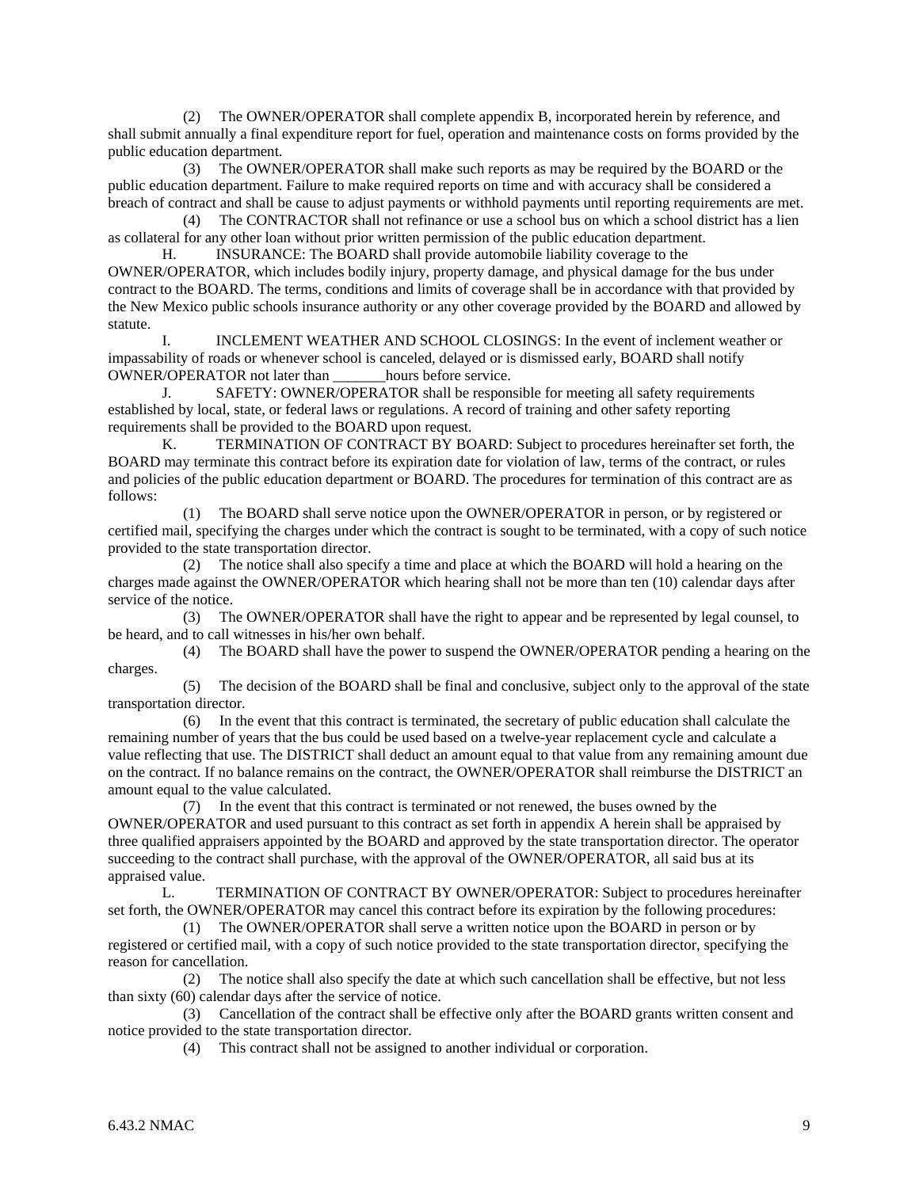(2) The OWNER/OPERATOR shall complete appendix B, incorporated herein by reference, and shall submit annually a final expenditure report for fuel, operation and maintenance costs on forms provided by the public education department.

 (3) The OWNER/OPERATOR shall make such reports as may be required by the BOARD or the public education department. Failure to make required reports on time and with accuracy shall be considered a breach of contract and shall be cause to adjust payments or withhold payments until reporting requirements are met.

 (4) The CONTRACTOR shall not refinance or use a school bus on which a school district has a lien as collateral for any other loan without prior written permission of the public education department.

 H. INSURANCE: The BOARD shall provide automobile liability coverage to the OWNER/OPERATOR, which includes bodily injury, property damage, and physical damage for the bus under contract to the BOARD. The terms, conditions and limits of coverage shall be in accordance with that provided by the New Mexico public schools insurance authority or any other coverage provided by the BOARD and allowed by statute.

 I. INCLEMENT WEATHER AND SCHOOL CLOSINGS: In the event of inclement weather or impassability of roads or whenever school is canceled, delayed or is dismissed early, BOARD shall notify OWNER/OPERATOR not later than hours before service.

 J. SAFETY: OWNER/OPERATOR shall be responsible for meeting all safety requirements established by local, state, or federal laws or regulations. A record of training and other safety reporting requirements shall be provided to the BOARD upon request.

 K. TERMINATION OF CONTRACT BY BOARD: Subject to procedures hereinafter set forth, the BOARD may terminate this contract before its expiration date for violation of law, terms of the contract, or rules and policies of the public education department or BOARD. The procedures for termination of this contract are as follows:

 (1) The BOARD shall serve notice upon the OWNER/OPERATOR in person, or by registered or certified mail, specifying the charges under which the contract is sought to be terminated, with a copy of such notice provided to the state transportation director.

 (2) The notice shall also specify a time and place at which the BOARD will hold a hearing on the charges made against the OWNER/OPERATOR which hearing shall not be more than ten (10) calendar days after service of the notice.

 (3) The OWNER/OPERATOR shall have the right to appear and be represented by legal counsel, to be heard, and to call witnesses in his/her own behalf.

 (4) The BOARD shall have the power to suspend the OWNER/OPERATOR pending a hearing on the charges.

 (5) The decision of the BOARD shall be final and conclusive, subject only to the approval of the state transportation director.

 (6) In the event that this contract is terminated, the secretary of public education shall calculate the remaining number of years that the bus could be used based on a twelve-year replacement cycle and calculate a value reflecting that use. The DISTRICT shall deduct an amount equal to that value from any remaining amount due on the contract. If no balance remains on the contract, the OWNER/OPERATOR shall reimburse the DISTRICT an amount equal to the value calculated.

 (7) In the event that this contract is terminated or not renewed, the buses owned by the OWNER/OPERATOR and used pursuant to this contract as set forth in appendix A herein shall be appraised by three qualified appraisers appointed by the BOARD and approved by the state transportation director. The operator succeeding to the contract shall purchase, with the approval of the OWNER/OPERATOR, all said bus at its appraised value.

 L. TERMINATION OF CONTRACT BY OWNER/OPERATOR: Subject to procedures hereinafter set forth, the OWNER/OPERATOR may cancel this contract before its expiration by the following procedures:

 (1) The OWNER/OPERATOR shall serve a written notice upon the BOARD in person or by registered or certified mail, with a copy of such notice provided to the state transportation director, specifying the reason for cancellation.

 (2) The notice shall also specify the date at which such cancellation shall be effective, but not less than sixty (60) calendar days after the service of notice.

 (3) Cancellation of the contract shall be effective only after the BOARD grants written consent and notice provided to the state transportation director.

(4) This contract shall not be assigned to another individual or corporation.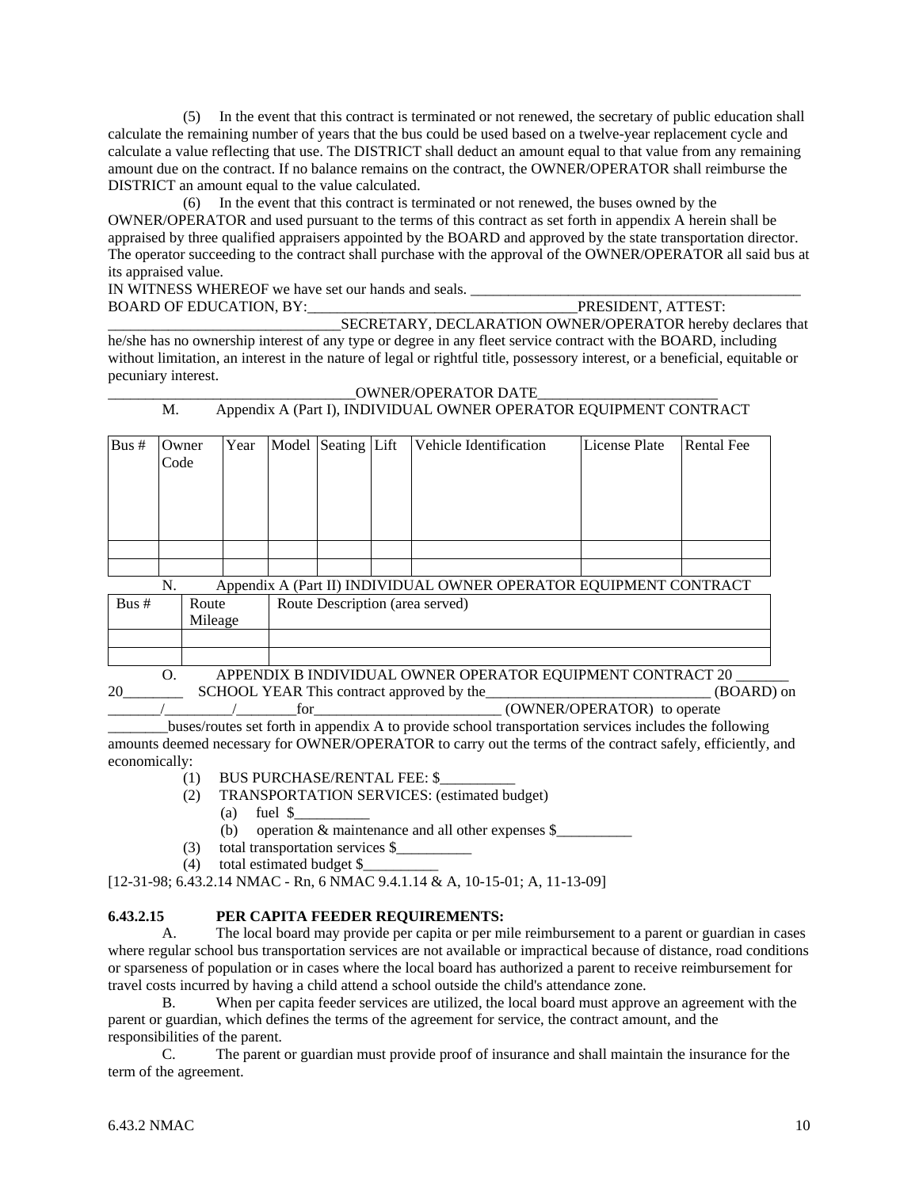(5) In the event that this contract is terminated or not renewed, the secretary of public education shall calculate the remaining number of years that the bus could be used based on a twelve-year replacement cycle and calculate a value reflecting that use. The DISTRICT shall deduct an amount equal to that value from any remaining amount due on the contract. If no balance remains on the contract, the OWNER/OPERATOR shall reimburse the DISTRICT an amount equal to the value calculated.

 (6) In the event that this contract is terminated or not renewed, the buses owned by the OWNER/OPERATOR and used pursuant to the terms of this contract as set forth in appendix A herein shall be appraised by three qualified appraisers appointed by the BOARD and approved by the state transportation director. The operator succeeding to the contract shall purchase with the approval of the OWNER/OPERATOR all said bus at its appraised value.

IN WITNESS WHEREOF we have set our hands and seals. \_\_\_\_\_\_\_\_\_\_\_\_\_\_\_\_\_\_\_\_\_\_\_\_\_\_\_\_\_\_\_\_\_\_\_\_\_\_\_\_\_\_\_\_ BOARD OF EDUCATION, BY:

SECRETARY, DECLARATION OWNER/OPERATOR hereby declares that he/she has no ownership interest of any type or degree in any fleet service contract with the BOARD, including without limitation, an interest in the nature of legal or rightful title, possessory interest, or a beneficial, equitable or pecuniary interest.

# \_\_\_\_\_\_\_\_\_\_\_\_\_\_\_\_\_\_\_\_\_\_\_\_\_\_\_\_\_\_\_\_\_OWNER/OPERATOR DATE\_\_\_\_\_\_\_\_\_\_\_\_\_\_\_\_\_\_\_\_\_\_\_\_

# M. Appendix A (Part I), INDIVIDUAL OWNER OPERATOR EQUIPMENT CONTRACT

| Bus $#$ | Owner<br>Code                                       |  | Year |  | Model Seating Lift |  | Vehicle Identification                                            | <b>License Plate</b> | <b>Rental Fee</b> |
|---------|-----------------------------------------------------|--|------|--|--------------------|--|-------------------------------------------------------------------|----------------------|-------------------|
|         |                                                     |  |      |  |                    |  |                                                                   |                      |                   |
|         |                                                     |  |      |  |                    |  |                                                                   |                      |                   |
|         | N.                                                  |  |      |  |                    |  | Appendix A (Part II) INDIVIDUAL OWNER OPERATOR EQUIPMENT CONTRACT |                      |                   |
| Bus#    | Route Description (area served)<br>Route<br>Mileage |  |      |  |                    |  |                                                                   |                      |                   |
|         |                                                     |  |      |  |                    |  |                                                                   |                      |                   |
|         |                                                     |  |      |  |                    |  |                                                                   |                      |                   |

O. APPENDIX B INDIVIDUAL OWNER OPERATOR EQUIPMENT CONTRACT 20 \_\_\_\_ 20\_\_\_\_\_\_\_\_\_\_ SCHOOL YEAR This contract approved by the \_\_\_\_\_\_\_\_\_\_\_\_\_\_\_\_\_\_\_\_\_\_\_\_\_ (BOARD) on / for for the contract of the contract of the contract of the contract of the contract of the contract of the contract of the contract of the contract of the contract of the contract of the contract of the contract of the

\_\_\_\_\_\_\_\_buses/routes set forth in appendix A to provide school transportation services includes the following amounts deemed necessary for OWNER/OPERATOR to carry out the terms of the contract safely, efficiently, and economically:

- (1) BUS PURCHASE/RENTAL FEE: \$\_\_\_\_\_\_\_\_\_\_
- (2) TRANSPORTATION SERVICES: (estimated budget)
	- (a) fuel  $\text{\$}$
	- (b) operation  $&$  maintenance and all other expenses  $\$$
- (3) total transportation services \$\_\_\_\_\_\_\_\_\_\_
- (4) total estimated budget \$\_\_\_\_\_\_\_\_\_\_

[12-31-98; 6.43.2.14 NMAC - Rn, 6 NMAC 9.4.1.14 & A, 10-15-01; A, 11-13-09]

# **6.43.2.15 PER CAPITA FEEDER REQUIREMENTS:**

 A. The local board may provide per capita or per mile reimbursement to a parent or guardian in cases where regular school bus transportation services are not available or impractical because of distance, road conditions or sparseness of population or in cases where the local board has authorized a parent to receive reimbursement for travel costs incurred by having a child attend a school outside the child's attendance zone.

 B. When per capita feeder services are utilized, the local board must approve an agreement with the parent or guardian, which defines the terms of the agreement for service, the contract amount, and the responsibilities of the parent.

 C. The parent or guardian must provide proof of insurance and shall maintain the insurance for the term of the agreement.